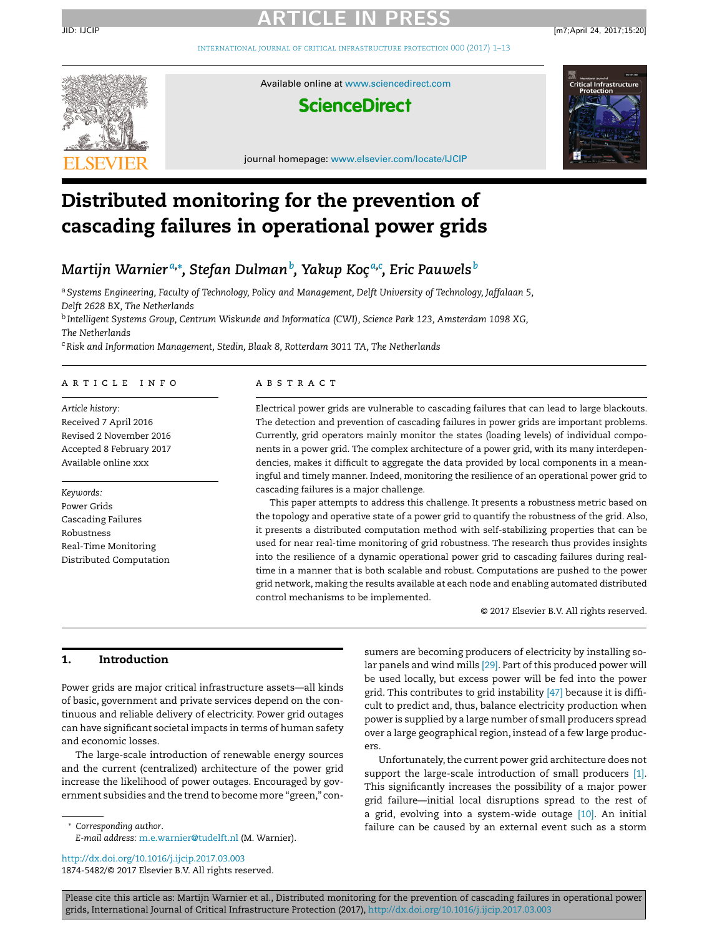# **ARTICLE IN PRESS** JID: IJCIP [m7;April 24, 2017;15:20]

international journal of critical [infrastructure](http://dx.doi.org/10.1016/j.ijcip.2017.03.003) protection 000 (2017) 1–13



Available online at [www.sciencedirect.com](http://www.sciencedirect.com/science/journal/99999994)

# **ScienceDirect**



journal homepage: [www.elsevier.com/locate/IJCIP](http://www.elsevier.com/locate/IJCIP)

# **Distributed monitoring for the prevention of cascading failures in operational power grids**

# *Martijn Warnier a,***<sup>∗</sup>** *, Stefan Dulman<sup>b</sup> , Yakup Koç a,c , Eric Pauwels <sup>b</sup>*

<sup>a</sup> *Systems Engineering, Faculty of Technology, Policy and Management, Delft University of Technology, Jaffalaan 5, Delft 2628 BX, The Netherlands*

<sup>b</sup> *Intelligent Systems Group, Centrum Wiskunde and Informatica (CWI), Science Park 123, Amsterdam 1098 XG, The Netherlands*

<sup>c</sup>*Risk and Information Management, Stedin, Blaak 8, Rotterdam 3011 TA, The Netherlands*

### ARTICLE INFO

*Article history:* Received 7 April 2016 Revised 2 November 2016 Accepted 8 February 2017 Available online xxx

*Keywords:* Power Grids Cascading Failures Robustness Real-Time Monitoring Distributed Computation

## a b s t r a c t

Electrical power grids are vulnerable to cascading failures that can lead to large blackouts. The detection and prevention of cascading failures in power grids are important problems. Currently, grid operators mainly monitor the states (loading levels) of individual components in a power grid. The complex architecture of a power grid, with its many interdependencies, makes it difficult to aggregate the data provided by local components in a meaningful and timely manner. Indeed, monitoring the resilience of an operational power grid to cascading failures is a major challenge.

This paper attempts to address this challenge. It presents a robustness metric based on the topology and operative state of a power grid to quantify the robustness of the grid. Also, it presents a distributed computation method with self-stabilizing properties that can be used for near real-time monitoring of grid robustness. The research thus provides insights into the resilience of a dynamic operational power grid to cascading failures during realtime in a manner that is both scalable and robust. Computations are pushed to the power grid network, making the results available at each node and enabling automated distributed control mechanisms to be implemented.

© 2017 Elsevier B.V. All rights reserved.

## **1. Introduction**

Power grids are major critical infrastructure assets—all kinds of basic, government and private services depend on the continuous and reliable delivery of electricity. Power grid outages can have significant societal impacts in terms of human safety and economic losses.

The large-scale introduction of renewable energy sources and the current (centralized) architecture of the power grid increase the likelihood of power outages. Encouraged by government subsidies and the trend to become more "green," con-

<sup>∗</sup> *Corresponding author*. *E-mail address:* [m.e.warnier@tudelft.nl](mailto:m.e.warnier@tudelft.nl) (M. Warnier).

<http://dx.doi.org/10.1016/j.ijcip.2017.03.003> 1874-5482/© 2017 Elsevier B.V. All rights reserved.

sumers are becoming producers of electricity by installing solar panels and wind mills [\[29\].](#page-12-0) Part of this produced power will be used locally, but excess power will be fed into the power grid. This contributes to grid instability  $[47]$  because it is difficult to predict and, thus, balance electricity production when power is supplied by a large number of small producers spread over a large geographical region, instead of a few large producers.

Unfortunately, the current power grid architecture does not support the large-scale introduction of small producers [\[1\].](#page-11-0) This significantly increases the possibility of a major power grid failure—initial local disruptions spread to the rest of a grid, evolving into a system-wide outage <a>[10]</a>. An initial failure can be caused by an external event such as a storm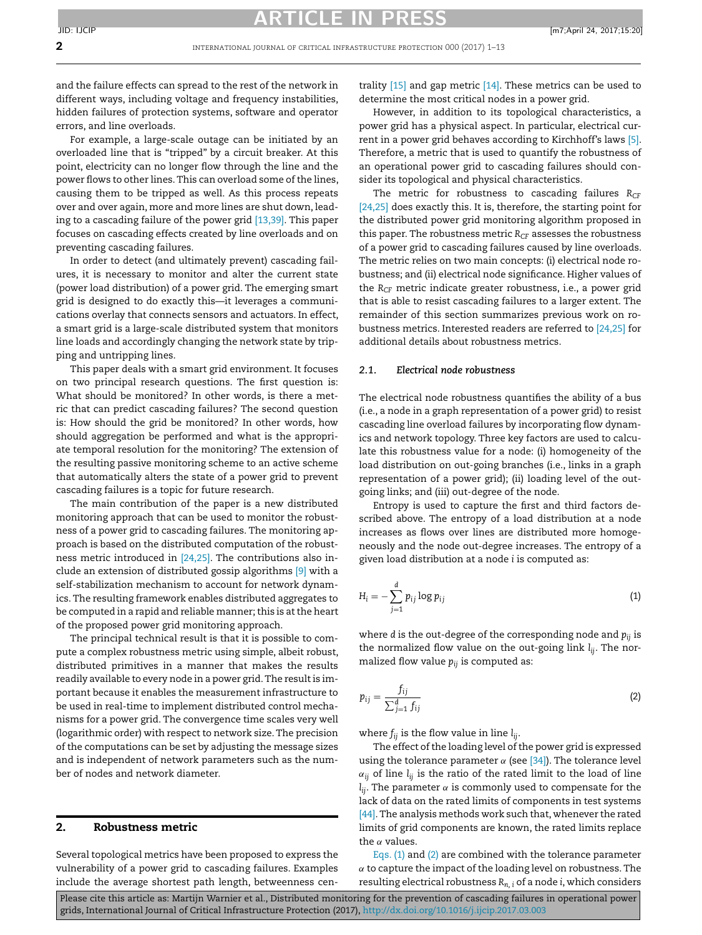<span id="page-1-0"></span>and the failure effects can spread to the rest of the network in different ways, including voltage and frequency instabilities, hidden failures of protection systems, software and operator errors, and line overloads.

For example, a large-scale outage can be initiated by an overloaded line that is "tripped" by a circuit breaker. At this point, electricity can no longer flow through the line and the power flows to other lines. This can overload some of the lines, causing them to be tripped as well. As this process repeats over and over again, more and more lines are shut down, leading to a cascading failure of the power grid [\[13,39\].](#page-11-0) This paper focuses on cascading effects created by line overloads and on preventing cascading failures.

In order to detect (and ultimately prevent) cascading failures, it is necessary to monitor and alter the current state (power load distribution) of a power grid. The emerging smart grid is designed to do exactly this—it leverages a communications overlay that connects sensors and actuators. In effect, a smart grid is a large-scale distributed system that monitors line loads and accordingly changing the network state by tripping and untripping lines.

This paper deals with a smart grid environment. It focuses on two principal research questions. The first question is: What should be monitored? In other words, is there a metric that can predict cascading failures? The second question is: How should the grid be monitored? In other words, how should aggregation be performed and what is the appropriate temporal resolution for the monitoring? The extension of the resulting passive monitoring scheme to an active scheme that automatically alters the state of a power grid to prevent cascading failures is a topic for future research.

The main contribution of the paper is a new distributed monitoring approach that can be used to monitor the robustness of a power grid to cascading failures. The monitoring approach is based on the distributed computation of the robustness metric introduced in [\[24,25\].](#page-12-0) The contributions also include an extension of distributed gossip algorithms [\[9\]](#page-11-0) with a self-stabilization mechanism to account for network dynamics. The resulting framework enables distributed aggregates to be computed in a rapid and reliable manner; this is at the heart of the proposed power grid monitoring approach.

The principal technical result is that it is possible to compute a complex robustness metric using simple, albeit robust, distributed primitives in a manner that makes the results readily available to every node in a power grid. The result is important because it enables the measurement infrastructure to be used in real-time to implement distributed control mechanisms for a power grid. The convergence time scales very well (logarithmic order) with respect to network size. The precision of the computations can be set by adjusting the message sizes and is independent of network parameters such as the number of nodes and network diameter.

### **2. Robustness metric**

Several topological metrics have been proposed to express the vulnerability of a power grid to cascading failures. Examples include the average shortest path length, betweenness centrality [\[15\]](#page-11-0) and gap metric [\[14\].](#page-11-0) These metrics can be used to determine the most critical nodes in a power grid.

However, in addition to its topological characteristics, a power grid has a physical aspect. In particular, electrical current in a power grid behaves according to Kirchhoff's laws [\[5\].](#page-11-0) Therefore, a metric that is used to quantify the robustness of an operational power grid to cascading failures should consider its topological and physical characteristics.

The metric for robustness to cascading failures R<sub>CF</sub> [\[24,25\]](#page-12-0) does exactly this. It is, therefore, the starting point for the distributed power grid monitoring algorithm proposed in this paper. The robustness metric *R<sub>CF</sub>* assesses the robustness of a power grid to cascading failures caused by line overloads. The metric relies on two main concepts: (i) electrical node robustness; and (ii) electrical node significance. Higher values of the *RCF* metric indicate greater robustness, i.e., a power grid that is able to resist cascading failures to a larger extent. The remainder of this section summarizes previous work on robustness metrics. Interested readers are referred to [\[24,25\]](#page-12-0) for additional details about robustness metrics.

## *2.1. Electrical node robustness*

The electrical node robustness quantifies the ability of a bus (i.e., a node in a graph representation of a power grid) to resist cascading line overload failures by incorporating flow dynamics and network topology. Three key factors are used to calculate this robustness value for a node: (i) homogeneity of the load distribution on out-going branches (i.e., links in a graph representation of a power grid); (ii) loading level of the outgoing links; and (iii) out-degree of the node.

Entropy is used to capture the first and third factors described above. The entropy of a load distribution at a node increases as flows over lines are distributed more homogeneously and the node out-degree increases. The entropy of a given load distribution at a node *i* is computed as:

$$
H_i = -\sum_{j=1}^d p_{ij} \log p_{ij} \tag{1}
$$

where *d* is the out-degree of the corresponding node and *pij* is the normalized flow value on the out-going link *lij*. The normalized flow value  $p_{ij}$  is computed as:

$$
p_{ij} = \frac{f_{ij}}{\sum_{j=1}^{d} f_{ij}}
$$
 (2)

where  $f_{ii}$  is the flow value in line  $l_{ii}$ .

The effect of the loading level of the power grid is expressed using the tolerance parameter  $\alpha$  (see [\[34\]\)](#page-12-0). The tolerance level  $\alpha_{ij}$  of line  $l_{ij}$  is the ratio of the rated limit to the load of line  $l_{ii}$ . The parameter  $\alpha$  is commonly used to compensate for the lack of data on the rated limits of components in test systems [\[44\].](#page-12-0) The analysis methods work such that, whenever the rated limits of grid components are known, the rated limits replace the  $\alpha$  values.

Eqs. (1) and (2) are combined with the tolerance parameter  $\alpha$  to capture the impact of the loading level on robustness. The resulting electrical robustness *Rn, <sup>i</sup>* of a node *i*, which considers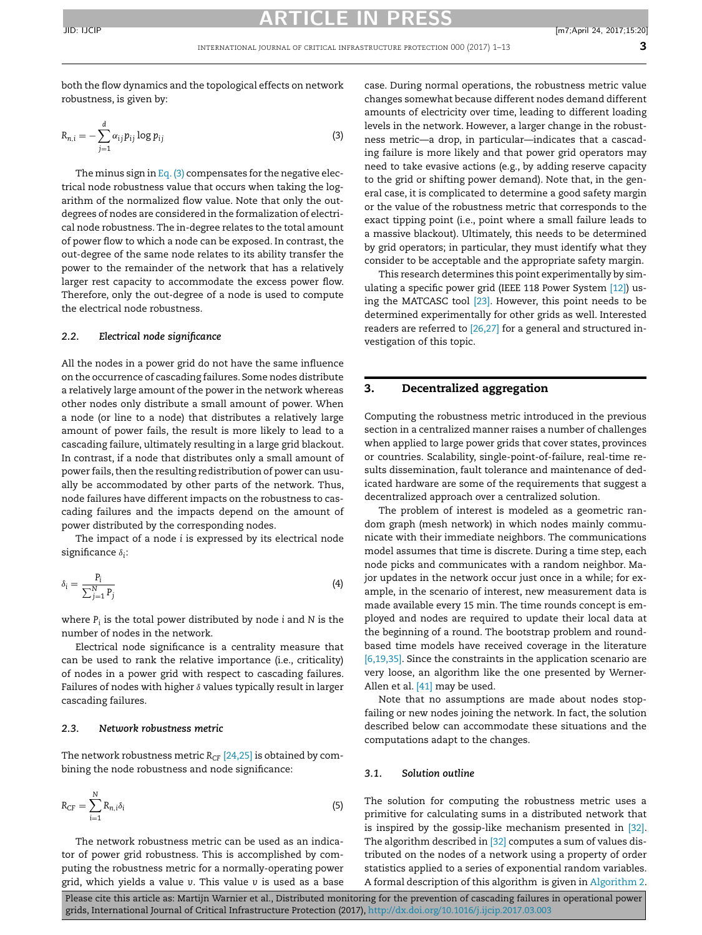<span id="page-2-0"></span>both the flow dynamics and the topological effects on network robustness, is given by:

$$
R_{n,i} = -\sum_{j=1}^{d} \alpha_{ij} p_{ij} \log p_{ij}
$$
 (3)

The minus sign in  $Eq. (3)$  compensates for the negative electrical node robustness value that occurs when taking the logarithm of the normalized flow value. Note that only the outdegrees of nodes are considered in the formalization of electrical node robustness. The in-degree relates to the total amount of power flow to which a node can be exposed. In contrast, the out-degree of the same node relates to its ability transfer the power to the remainder of the network that has a relatively larger rest capacity to accommodate the excess power flow. Therefore, only the out-degree of a node is used to compute the electrical node robustness.

## *2.2. Electrical node significance*

All the nodes in a power grid do not have the same influence on the occurrence of cascading failures. Some nodes distribute a relatively large amount of the power in the network whereas other nodes only distribute a small amount of power. When a node (or line to a node) that distributes a relatively large amount of power fails, the result is more likely to lead to a cascading failure, ultimately resulting in a large grid blackout. In contrast, if a node that distributes only a small amount of power fails, then the resulting redistribution of power can usually be accommodated by other parts of the network. Thus, node failures have different impacts on the robustness to cascading failures and the impacts depend on the amount of power distributed by the corresponding nodes.

The impact of a node *i* is expressed by its electrical node significance δ*i*:

$$
\delta_i = \frac{P_i}{\sum_{j=1}^N P_j} \tag{4}
$$

where *Pi* is the total power distributed by node *i* and *N* is the number of nodes in the network.

Electrical node significance is a centrality measure that can be used to rank the relative importance (i.e., criticality) of nodes in a power grid with respect to cascading failures. Failures of nodes with higher  $\delta$  values typically result in larger cascading failures.

### *2.3. Network robustness metric*

The network robustness metric *R<sub>CF</sub>* [\[24,25\]](#page-12-0) is obtained by combining the node robustness and node significance:

$$
R_{CF} = \sum_{i=1}^{N} R_{n,i} \delta_i
$$
 (5)

The network robustness metric can be used as an indicator of power grid robustness. This is accomplished by computing the robustness metric for a normally-operating power grid, which yields a value *v*. This value *v* is used as a base

case. During normal operations, the robustness metric value changes somewhat because different nodes demand different amounts of electricity over time, leading to different loading levels in the network. However, a larger change in the robustness metric—a drop, in particular—indicates that a cascading failure is more likely and that power grid operators may need to take evasive actions (e.g., by adding reserve capacity to the grid or shifting power demand). Note that, in the general case, it is complicated to determine a good safety margin or the value of the robustness metric that corresponds to the exact tipping point (i.e., point where a small failure leads to a massive blackout). Ultimately, this needs to be determined by grid operators; in particular, they must identify what they consider to be acceptable and the appropriate safety margin.

This research determines this point experimentally by sim-ulating a specific power grid (IEEE 118 Power System [\[12\]\)](#page-11-0) using the MATCASC tool [\[23\].](#page-11-0) However, this point needs to be determined experimentally for other grids as well. Interested readers are referred to [\[26,27\]](#page-12-0) for a general and structured investigation of this topic.

## **3. Decentralized aggregation**

Computing the robustness metric introduced in the previous section in a centralized manner raises a number of challenges when applied to large power grids that cover states, provinces or countries. Scalability, single-point-of-failure, real-time results dissemination, fault tolerance and maintenance of dedicated hardware are some of the requirements that suggest a decentralized approach over a centralized solution.

The problem of interest is modeled as a geometric random graph (mesh network) in which nodes mainly communicate with their immediate neighbors. The communications model assumes that time is discrete. During a time step, each node picks and communicates with a random neighbor. Major updates in the network occur just once in a while; for example, in the scenario of interest, new measurement data is made available every 15 min. The time rounds concept is employed and nodes are required to update their local data at the beginning of a round. The bootstrap problem and roundbased time models have received coverage in the literature [\[6,19,35\].](#page-11-0) Since the constraints in the application scenario are very loose, an algorithm like the one presented by Werner-Allen et al. [\[41\]](#page-12-0) may be used.

Note that no assumptions are made about nodes stopfailing or new nodes joining the network. In fact, the solution described below can accommodate these situations and the computations adapt to the changes.

### *3.1. Solution outline*

The solution for computing the robustness metric uses a primitive for calculating sums in a distributed network that is inspired by the gossip-like mechanism presented in [\[32\].](#page-12-0) The algorithm described in [\[32\]](#page-12-0) computes a sum of values distributed on the nodes of a network using a property of order statistics applied to a series of exponential random variables. A formal description of this algorithm is given in [Algorithm](#page-3-0) 2.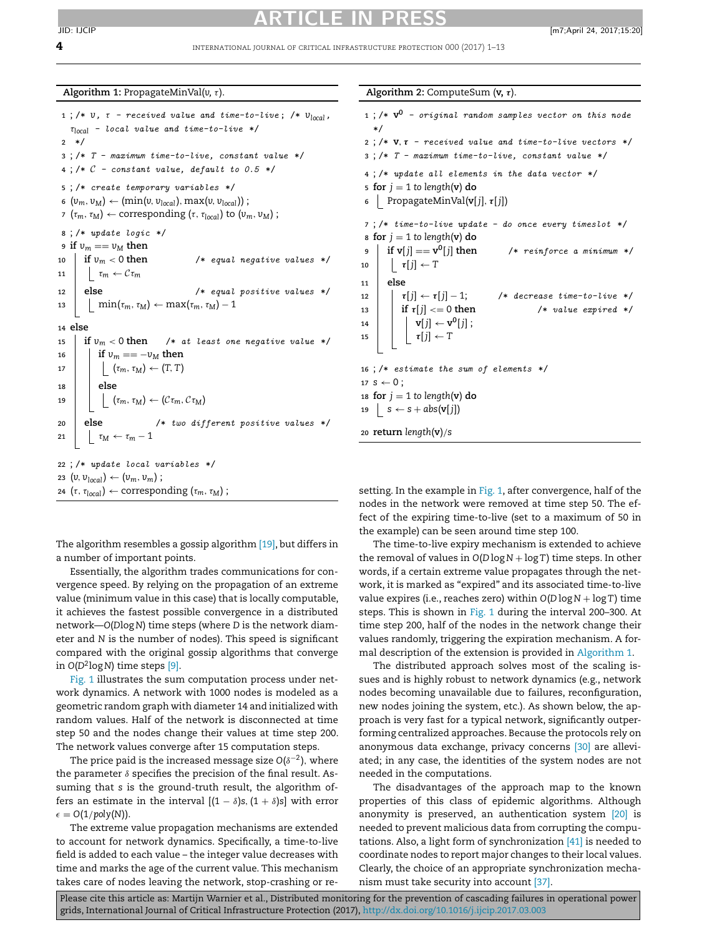# <span id="page-3-0"></span>**ARTICLE IN PRESS** JID: IJCIP [m7;April 24, 2017;15:20]

**4** international journal of critical infrastructure protection 000 (2017) 1–13

# **Algorithm 1:** PropagateMinVal(*v*, τ).

```
1 ; /* v, τ - received value and time-to-live ; /* vlocal,
   τlocal - local value and time-to-live */
 2 */
 3 ; /* T - maximum time-to-live, constant value */
 4 ; /* C - constant value, default to 0.5 */
 5 ; /* create temporary variables */
 \mathfrak{b} (v<sub>m</sub>, v<sub>M</sub>) \leftarrow (min(v, v<sub>local</sub>), max(v, v<sub>local</sub>));
 \tau (\tau_m, \tau_M) \leftarrow corresponding (\tau, \tau_{local}) to (\nu_m, \nu_M);
 8 ; /* update logic */
 9 if v_m == v_M then<br>
10 | if v_m < 0 then
10 if vm < 0 then /* equal negative values */
11 \vert \cdot \vert \cdot \tau_m \leftarrow \mathcal{C} \tau_m12 else /* equal positive values */
13 | \min(\tau_m, \tau_M) \leftarrow \max(\tau_m, \tau_M) - 114 else
15 if v_m < 0 then /* at least one negative value */
16 if v_m = -v_M then
17 \left(\tau_m, \tau_M\right) \leftarrow (T, T)18 else
19 \left(\tau_m, \tau_M\right) \leftarrow (\mathcal{C}\tau_m, \mathcal{C}\tau_M)20 else /* two different positive values */
21 \vert \cdot \vert \cdot \tau_M \leftarrow \tau_m - 122 ; /* update local variables */
23 (v, v<sub>local</sub>) ← (v<sub>m</sub>, v<sub>m</sub>) ;
24 (\tau, \tau_{local}) ← corresponding (\tau_m, \tau_M);
```
The algorithm resembles a gossip algorithm [\[19\],](#page-11-0) but differs in a number of important points.

Essentially, the algorithm trades communications for convergence speed. By relying on the propagation of an extreme value (minimum value in this case) that is locally computable, it achieves the fastest possible convergence in a distributed network—*O*(*D*log *N*) time steps (where *D* is the network diameter and *N* is the number of nodes). This speed is significant compared with the original gossip algorithms that converge in *O*(*D*2log *N*) time steps [\[9\].](#page-11-0)

[Fig.](#page-4-0) 1 illustrates the sum computation process under network dynamics. A network with 1000 nodes is modeled as a geometric random graph with diameter 14 and initialized with random values. Half of the network is disconnected at time step 50 and the nodes change their values at time step 200. The network values converge after 15 computation steps.

The price paid is the increased message size *O*(δ−2), where the parameter  $\delta$  specifies the precision of the final result. Assuming that *s* is the ground-truth result, the algorithm offers an estimate in the interval  $[(1 - \delta)s, (1 + \delta)s]$  with error  $\epsilon = O(1/poly(N)).$ 

The extreme value propagation mechanisms are extended to account for network dynamics. Specifically, a time-to-live field is added to each value – the integer value decreases with time and marks the age of the current value. This mechanism takes care of nodes leaving the network, stop-crashing or re**Algorithm 2:** ComputeSum (**v,** *τ*).

```
1 ; /* v0 - original random samples vector on this node
   */
 2 ; /* v, τ - received value and time-to-live vectors */
 3 ; /* T - maximum time-to-live, constant value */
 4 ; /* update all elements in the data vector */
 5 for j = 1 to length(v) do
 6 PropagateMinVal(v[j], τ[j])
 7 ; /* time-to-live update - do once every timeslot */
8 for j = 1 to length(v) do<br>9 \left| \begin{array}{c} \text{if } \mathbf{v}[j] == \mathbf{v}^0[j] \text{ then} \end{array} \right.9 if \mathbf{v}[j] == \mathbf{v}^0[j] then /* reinforce a minimum */
10 \tau[j] \leftarrow T11 else
12 1 τ[j] ← τ[j] − 1; /* decrease time-to-live */<br>
13 if τ[j] <= 0 then /* value expired */
13 if \tau[j] \leq 0 then /* value expired */
\mathbf{v}[j] \leftarrow \mathbf{v}[j] \leftarrow \mathbf{v}[j];
15 \vert \vert \tau[j] \leftarrow T16 ; /* estimate the sum of elements */
17 \text{ s} \leftarrow 0 :
18 for j = 1 to length(v) do
19 s \leftarrow s + abs(v[j])20 return length(v)/s
```
setting. In the example in [Fig.](#page-4-0) 1, after convergence, half of the nodes in the network were removed at time step 50. The effect of the expiring time-to-live (set to a maximum of 50 in the example) can be seen around time step 100.

The time-to-live expiry mechanism is extended to achieve the removal of values in *O*(*D* log *N* + log *T*) time steps. In other words, if a certain extreme value propagates through the network, it is marked as "expired" and its associated time-to-live value expires (i.e., reaches zero) within *O*(*D* log *N* + log *T*) time steps. This is shown in [Fig.](#page-4-0) 1 during the interval 200–300. At time step 200, half of the nodes in the network change their values randomly, triggering the expiration mechanism. A formal description of the extension is provided in Algorithm 1.

The distributed approach solves most of the scaling issues and is highly robust to network dynamics (e.g., network nodes becoming unavailable due to failures, reconfiguration, new nodes joining the system, etc.). As shown below, the approach is very fast for a typical network, significantly outperforming centralized approaches. Because the protocols rely on anonymous data exchange, privacy concerns [\[30\]](#page-12-0) are alleviated; in any case, the identities of the system nodes are not needed in the computations.

The disadvantages of the approach map to the known properties of this class of epidemic algorithms. Although anonymity is preserved, an authentication system [\[20\]](#page-11-0) is needed to prevent malicious data from corrupting the computations. Also, a light form of synchronization [\[41\]](#page-12-0) is needed to coordinate nodes to report major changes to their local values. Clearly, the choice of an appropriate synchronization mechanism must take security into account [\[37\].](#page-12-0)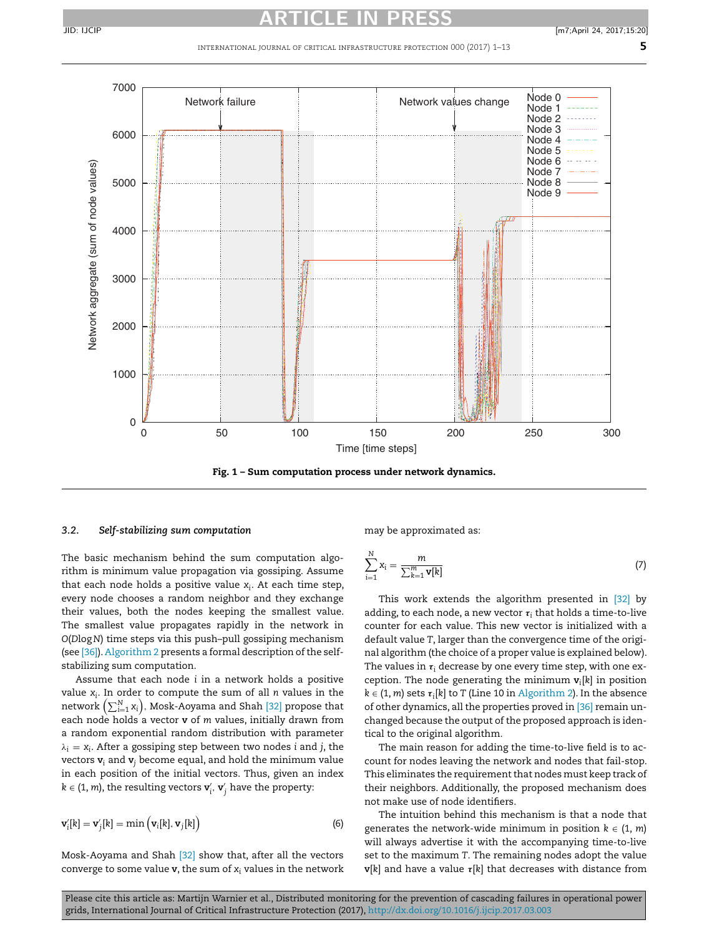

<span id="page-4-0"></span>international journal of critical infrastructure protection 000 (2017) 1–13 **5 ARTICLE IN PRESS** JID: IJCIP [m7;April 24, 2017;15:20] 2000 3000 4000 5000 6000 7000 Network failure Network values change Node 0 Node 1 Node 2 Node 3 Node 4 Node 5 Node 6 Node 7 Node 8 Node 9



# *3.2. Self-stabilizing sum computation*

may be approximated as:

The basic mechanism behind the sum computation algorithm is minimum value propagation via gossiping. Assume that each node holds a positive value *xi*. At each time step, every node chooses a random neighbor and they exchange their values, both the nodes keeping the smallest value. The smallest value propagates rapidly in the network in *O*(*D*log *N*) time steps via this push–pull gossiping mechanism (see  $[36]$ ). [Algorithm](#page-3-0) 2 presents a formal description of the selfstabilizing sum computation.

Assume that each node *i* in a network holds a positive value *xi*. In order to compute the sum of all *n* values in the  $\mathsf{network}\left(\sum_{i=1}^\mathbb{N} \mathsf{x}_i\right)$ , Mosk-Aoyama and Shah [\[32\]](#page-12-0) propose that each node holds a vector **v** of *m* values, initially drawn from a random exponential random distribution with parameter  $\lambda_i = x_i$ . After a gossiping step between two nodes *i* and *j*, the vectors **v***<sup>i</sup>* and **v***<sup>j</sup>* become equal, and hold the minimum value in each position of the initial vectors. Thus, given an index  $k \in (1, m)$ , the resulting vectors  $\mathbf{v}'_i$ ,  $\mathbf{v}'_j$  have the property:

$$
\mathbf{v}'_i[k] = \mathbf{v}'_j[k] = \min\left(\mathbf{v}_i[k], \mathbf{v}_j[k]\right) \tag{6}
$$

Mosk-Aoyama and Shah [\[32\]](#page-12-0) show that, after all the vectors converge to some value **v**, the sum of *xi* values in the network

$$
\sum_{i=1}^{N} x_i = \frac{m}{\sum_{k=1}^{m} \mathbf{v}[k]}
$$
 (7)

This work extends the algorithm presented in [\[32\]](#page-12-0) by adding, to each node, a new vector *τ<sup>i</sup>* that holds a time-to-live counter for each value. This new vector is initialized with a default value *T*, larger than the convergence time of the original algorithm (the choice of a proper value is explained below). The values in  $\tau_i$  decrease by one every time step, with one exception. The node generating the minimum **v***i*[*k*] in position  $k \in (1, m)$  sets  $\tau_i[k]$  to *T* (Line 10 in [Algorithm](#page-3-0) 2). In the absence of other dynamics, all the properties proved in [\[36\]](#page-12-0) remain unchanged because the output of the proposed approach is identical to the original algorithm.

The main reason for adding the time-to-live field is to account for nodes leaving the network and nodes that fail-stop. This eliminates the requirement that nodes must keep track of their neighbors. Additionally, the proposed mechanism does not make use of node identifiers.

The intuition behind this mechanism is that a node that generates the network-wide minimum in position  $k \in (1, m)$ will always advertise it with the accompanying time-to-live set to the maximum *T*. The remaining nodes adopt the value **v**[*k*] and have a value *τ*[*k*] that decreases with distance from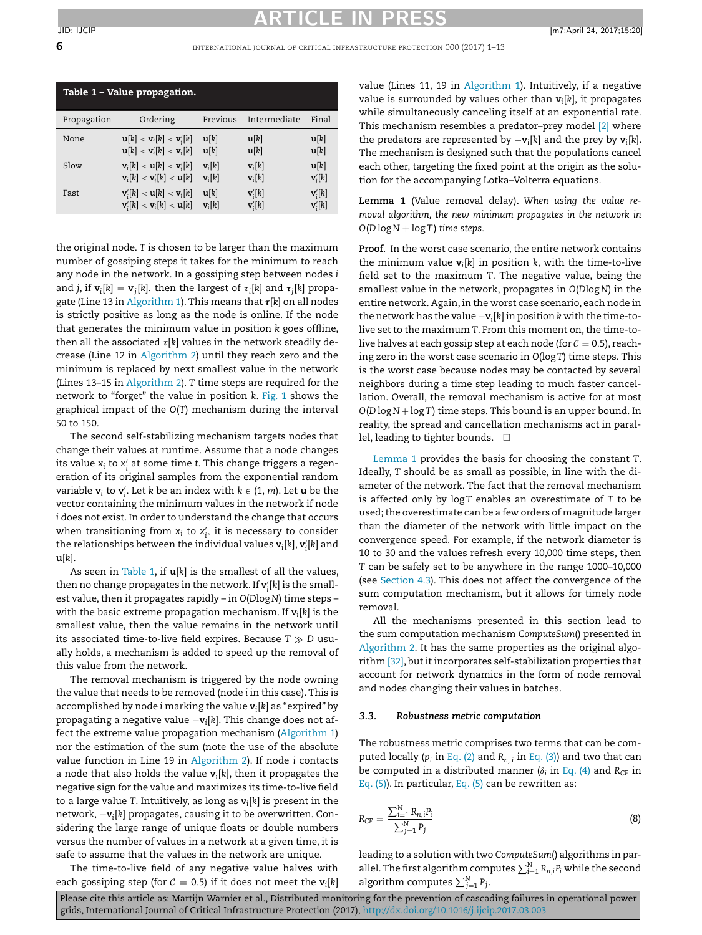<span id="page-5-0"></span>

| Table 1 - Value propagation. |                                                  |                   |                           |                           |
|------------------------------|--------------------------------------------------|-------------------|---------------------------|---------------------------|
| Propagation                  | Ordering                                         | Previous          | Intermediate              | Final                     |
| None                         | $ {\bf u}[k]   < {\bf v}_i[k]   < {\bf v}_i'[k]$ | u[k]              | u[k]                      | u[k]                      |
|                              | $u[k] < v'[k] < v_j[k]$                          | u[k]              | u[k]                      | u[k]                      |
| Slow                         | $v_i[k] < u[k] < v'_i[k]$                        | $\mathbf{v}_i[k]$ | $\mathbf{v}_i[k]$         | u[k]                      |
|                              | $v_i[k] < v'_i[k] < u[k]$                        | $\mathbf{v}_i[k]$ | $\mathbf{v}_i[k]$         | $\mathbf{v}^{\prime}$ [k] |
| Fast                         | ${\bf v}'_i[k] < {\bf u}[k] < {\bf v}_i[k]$      | u[k]              | $\mathbf{v}^{\prime}$ [k] | $\mathbf{v}'_i[k]$        |
|                              | ${\bf v}'_i[k] < {\bf v}_i[k] < {\bf u}[k]$      | $\mathbf{v}_i[k]$ | $\mathbf{v}'_i[k]$        | $\mathbf{v}'_i[k]$        |

the original node. *T* is chosen to be larger than the maximum number of gossiping steps it takes for the minimum to reach any node in the network. In a gossiping step between nodes *i* and *j*, if  $\mathbf{v}_i[k] = \mathbf{v}_i[k]$ , then the largest of  $\tau_i[k]$  and  $\tau_i[k]$  propagate (Line 13 in [Algorithm](#page-3-0) 1). This means that *τ*[*k*] on all nodes is strictly positive as long as the node is online. If the node that generates the minimum value in position *k* goes offline, then all the associated *τ*[*k*] values in the network steadily decrease (Line 12 in [Algorithm](#page-3-0) 2) until they reach zero and the minimum is replaced by next smallest value in the network (Lines 13–15 in [Algorithm](#page-3-0) 2). *T* time steps are required for the network to "forget" the value in position *k*. [Fig.](#page-4-0) 1 shows the graphical impact of the *O*(*T*) mechanism during the interval 50 to 150.

The second self-stabilizing mechanism targets nodes that change their values at runtime. Assume that a node changes its value *xi* to *x <sup>i</sup>* at some time *t*. This change triggers a regeneration of its original samples from the exponential random variable  $\mathbf{v}_i$  to  $\mathbf{v}'_i$ . Let k be an index with  $k \in (1, m)$ . Let  $\mathbf{u}$  be the vector containing the minimum values in the network if node *i* does not exist. In order to understand the change that occurs when transitioning from  $x_i$  to  $x'_i$ , it is necessary to consider the relationships between the individual values **v***i*[*k*], **v** *i* [*k*] and **u**[*k*].

As seen in Table 1, if **u**[*k*] is the smallest of all the values, then no change propagates in the network. If **v** *i* [*k*] is the smallest value, then it propagates rapidly – in *O*(*D*log *N*) time steps – with the basic extreme propagation mechanism. If **v***i*[*k*] is the smallest value, then the value remains in the network until its associated time-to-live field expires. Because *T D* usually holds, a mechanism is added to speed up the removal of this value from the network.

The removal mechanism is triggered by the node owning the value that needs to be removed (node *i* in this case). This is accomplished by node *i* marking the value **v***i*[*k*] as "expired" by propagating a negative value −**v***i*[*k*]. This change does not affect the extreme value propagation mechanism [\(Algorithm](#page-3-0) 1) nor the estimation of the sum (note the use of the absolute value function in Line 19 in [Algorithm](#page-3-0) 2). If node *i* contacts a node that also holds the value **v***i*[*k*], then it propagates the negative sign for the value and maximizes its time-to-live field to a large value *T*. Intuitively, as long as **v***i*[*k*] is present in the network, −**v***i*[*k*] propagates, causing it to be overwritten. Considering the large range of unique floats or double numbers versus the number of values in a network at a given time, it is safe to assume that the values in the network are unique.

The time-to-live field of any negative value halves with each gossiping step (for  $C = 0.5$ ) if it does not meet the  $\mathbf{v}_i[k]$  value (Lines 11, 19 in [Algorithm](#page-3-0) 1). Intuitively, if a negative value is surrounded by values other than **v***i*[*k*], it propagates while simultaneously canceling itself at an exponential rate. This mechanism resembles a predator–prey model [\[2\]](#page-11-0) where the predators are represented by  $-\mathbf{v}_i[k]$  and the prey by  $\mathbf{v}_i[k]$ . The mechanism is designed such that the populations cancel each other, targeting the fixed point at the origin as the solution for the accompanying Lotka–Volterra equations.

**Lemma 1** (Value removal delay)**.** *When using the value removal algorithm, the new minimum propagates in the network in O*(*D* log *N* + log *T*) *time steps.*

**Proof.** In the worst case scenario, the entire network contains the minimum value  $\mathbf{v}_i[k]$  in position  $k$ , with the time-to-live field set to the maximum *T*. The negative value, being the smallest value in the network, propagates in *O*(*D*log *N*) in the entire network. Again, in the worst case scenario, each node in the network has the value −**v***i*[*k*] in position *k* with the time-tolive set to the maximum *T*. From this moment on, the time-tolive halves at each gossip step at each node (for  $C = 0.5$ ), reaching zero in the worst case scenario in *O*(log *T*) time steps. This is the worst case because nodes may be contacted by several neighbors during a time step leading to much faster cancellation. Overall, the removal mechanism is active for at most *O*(*D* log *N* + log *T*) time steps. This bound is an upper bound. In reality, the spread and cancellation mechanisms act in parallel, leading to tighter bounds.  $\;\;\Box$ 

Lemma 1 provides the basis for choosing the constant *T*. Ideally, *T* should be as small as possible, in line with the diameter of the network. The fact that the removal mechanism is affected only by log *T* enables an overestimate of *T* to be used; the overestimate can be a few orders of magnitude larger than the diameter of the network with little impact on the convergence speed. For example, if the network diameter is 10 to 30 and the values refresh every 10,000 time steps, then *T* can be safely set to be anywhere in the range 1000–10,000 (see [Section](#page-8-0) 4.3). This does not affect the convergence of the sum computation mechanism, but it allows for timely node removal.

All the mechanisms presented in this section lead to the sum computation mechanism *ComputeSum*() presented in [Algorithm](#page-3-0) 2. It has the same properties as the original algorithm [\[32\],](#page-12-0) but it incorporates self-stabilization properties that account for network dynamics in the form of node removal and nodes changing their values in batches.

## *3.3. Robustness metric computation*

The robustness metric comprises two terms that can be computed locally  $(p_i \text{ in Eq. (2) and } R_{n,i} \text{ in Eq. (3)})$  $(p_i \text{ in Eq. (2) and } R_{n,i} \text{ in Eq. (3)})$  $(p_i \text{ in Eq. (2) and } R_{n,i} \text{ in Eq. (3)})$  and two that can be computed in a distributed manner ( $\delta_i$  in [Eq.](#page-2-0) (4) and  $R_{CF}$  in [Eq.](#page-2-0) (5)). In particular, [Eq.](#page-2-0) (5) can be rewritten as:

$$
R_{CF} = \frac{\sum_{i=1}^{N} R_{n,i} P_i}{\sum_{j=1}^{N} P_j}
$$
(8)

leading to a solution with two *ComputeSum*() algorithms in parallel. The first algorithm computes  $\sum_{i=1}^{N} R_{n,i} P_i$  while the second algorithm computes  $\sum_{j=1}^{N} P_j$ .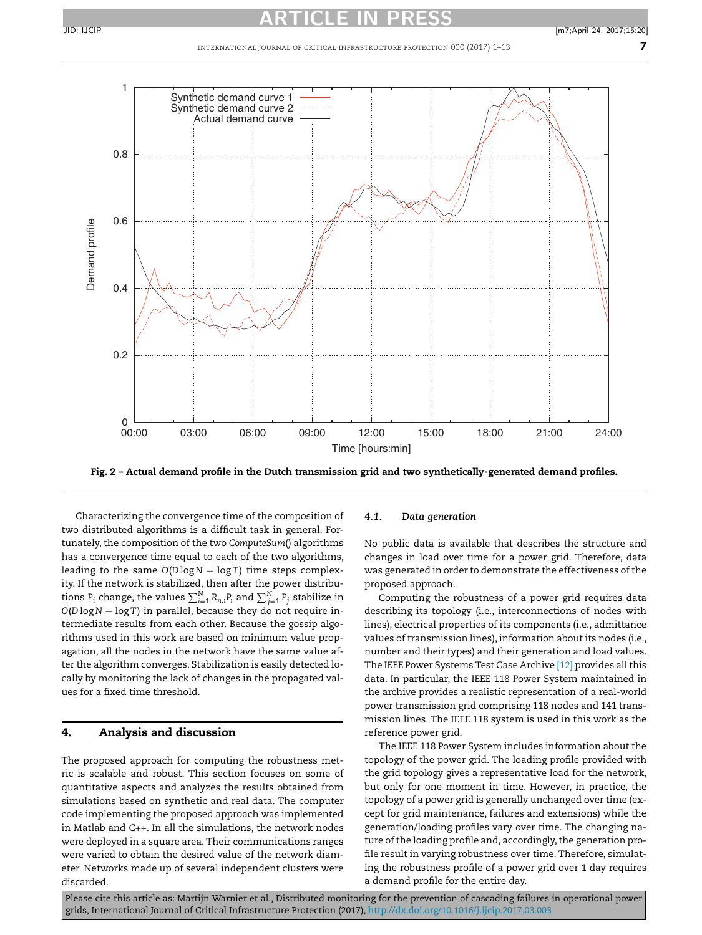<span id="page-6-0"></span>

**Fig. 2 – Actual demand profile in the Dutch transmission grid and two synthetically-generated demand profiles.**

Characterizing the convergence time of the composition of two distributed algorithms is a difficult task in general. Fortunately, the composition of the two *ComputeSum*() algorithms has a convergence time equal to each of the two algorithms, leading to the same *O*(*D* log *N* + log *T*) time steps complexity. If the network is stabilized, then after the power distributions  $P_i$  change, the values  $\sum_{i=1}^{N} R_{n,i} P_i$  and  $\sum_{j=1}^{N} P_j$  stabilize in *O*(*D* log *N* + log *T*) in parallel, because they do not require intermediate results from each other. Because the gossip algorithms used in this work are based on minimum value propagation, all the nodes in the network have the same value after the algorithm converges. Stabilization is easily detected locally by monitoring the lack of changes in the propagated values for a fixed time threshold.

# **4. Analysis and discussion**

The proposed approach for computing the robustness metric is scalable and robust. This section focuses on some of quantitative aspects and analyzes the results obtained from simulations based on synthetic and real data. The computer code implementing the proposed approach was implemented in Matlab and C++. In all the simulations, the network nodes were deployed in a square area. Their communications ranges were varied to obtain the desired value of the network diameter. Networks made up of several independent clusters were discarded.

## *4.1. Data generation*

No public data is available that describes the structure and changes in load over time for a power grid. Therefore, data was generated in order to demonstrate the effectiveness of the proposed approach.

Computing the robustness of a power grid requires data describing its topology (i.e., interconnections of nodes with lines), electrical properties of its components (i.e., admittance values of transmission lines), information about its nodes (i.e., number and their types) and their generation and load values. The IEEE Power Systems Test Case Archive [\[12\]](#page-11-0) provides all this data. In particular, the IEEE 118 Power System maintained in the archive provides a realistic representation of a real-world power transmission grid comprising 118 nodes and 141 transmission lines. The IEEE 118 system is used in this work as the reference power grid.

The IEEE 118 Power System includes information about the topology of the power grid. The loading profile provided with the grid topology gives a representative load for the network, but only for one moment in time. However, in practice, the topology of a power grid is generally unchanged over time (except for grid maintenance, failures and extensions) while the generation/loading profiles vary over time. The changing nature of the loading profile and, accordingly, the generation profile result in varying robustness over time. Therefore, simulating the robustness profile of a power grid over 1 day requires a demand profile for the entire day.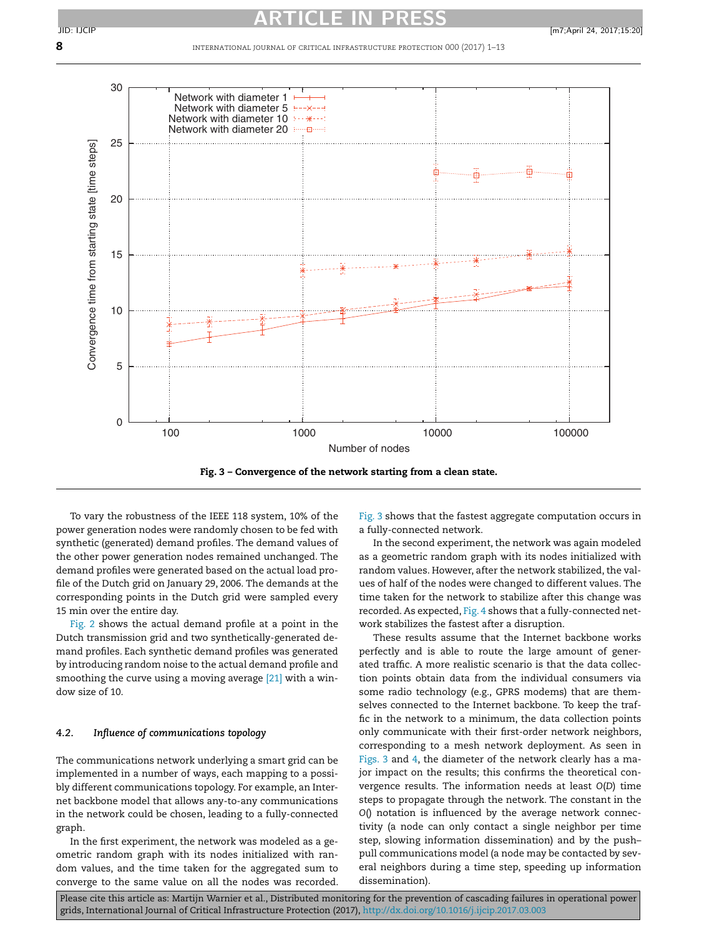<span id="page-7-0"></span>**8** international journal of critical infrastructure protection 000 (2017) 1–13



**Fig. 3 – Convergence of the network starting from a clean state.**

To vary the robustness of the IEEE 118 system, 10% of the power generation nodes were randomly chosen to be fed with synthetic (generated) demand profiles. The demand values of the other power generation nodes remained unchanged. The demand profiles were generated based on the actual load profile of the Dutch grid on January 29, 2006. The demands at the corresponding points in the Dutch grid were sampled every 15 min over the entire day.

[Fig.](#page-6-0) 2 shows the actual demand profile at a point in the Dutch transmission grid and two synthetically-generated demand profiles. Each synthetic demand profiles was generated by introducing random noise to the actual demand profile and smoothing the curve using a moving average [\[21\]](#page-11-0) with a window size of 10.

## *4.2. Influence of communications topology*

The communications network underlying a smart grid can be implemented in a number of ways, each mapping to a possibly different communications topology. For example, an Internet backbone model that allows any-to-any communications in the network could be chosen, leading to a fully-connected graph.

In the first experiment, the network was modeled as a geometric random graph with its nodes initialized with random values, and the time taken for the aggregated sum to converge to the same value on all the nodes was recorded.

Fig. 3 shows that the fastest aggregate computation occurs in a fully-connected network.

In the second experiment, the network was again modeled as a geometric random graph with its nodes initialized with random values. However, after the network stabilized, the values of half of the nodes were changed to different values. The time taken for the network to stabilize after this change was recorded. As expected, [Fig.](#page-8-0) 4 shows that a fully-connected network stabilizes the fastest after a disruption.

These results assume that the Internet backbone works perfectly and is able to route the large amount of generated traffic. A more realistic scenario is that the data collection points obtain data from the individual consumers via some radio technology (e.g., GPRS modems) that are themselves connected to the Internet backbone. To keep the traffic in the network to a minimum, the data collection points only communicate with their first-order network neighbors, corresponding to a mesh network deployment. As seen in Figs. 3 and [4,](#page-8-0) the diameter of the network clearly has a major impact on the results; this confirms the theoretical convergence results. The information needs at least *O*(*D*) time steps to propagate through the network. The constant in the *O*() notation is influenced by the average network connectivity (a node can only contact a single neighbor per time step, slowing information dissemination) and by the push– pull communications model (a node may be contacted by several neighbors during a time step, speeding up information dissemination).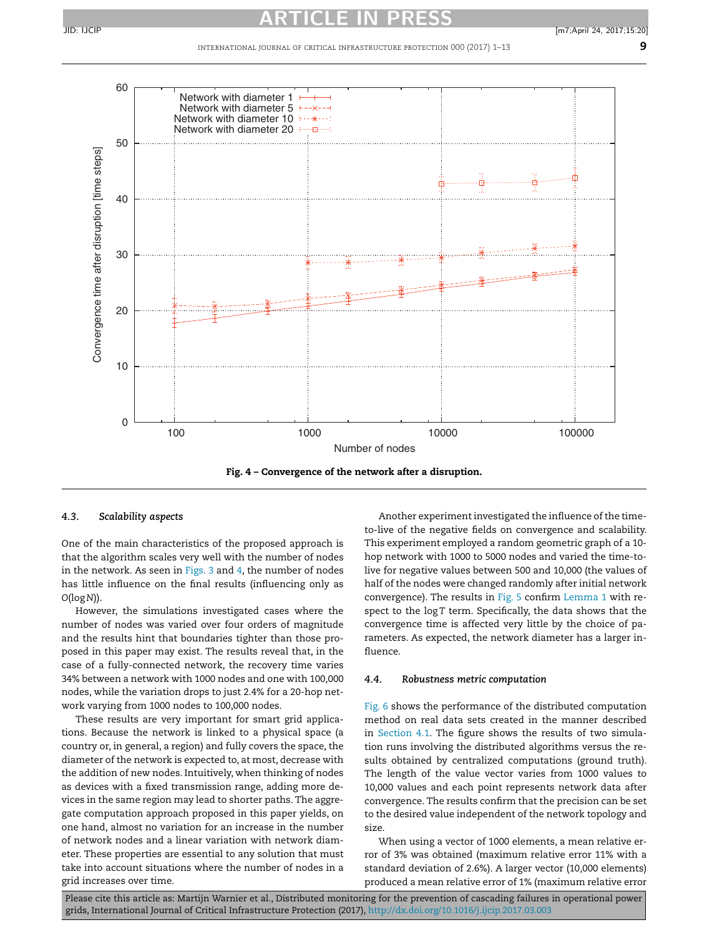# <span id="page-8-0"></span>**ARTICLE IN PRESS** JID: IJCIP [m7;April 24, 2017;15:20]





### *4.3. Scalability aspects*

One of the main characteristics of the proposed approach is that the algorithm scales very well with the number of nodes in the network. As seen in [Figs.](#page-7-0) 3 and 4, the number of nodes has little influence on the final results (influencing only as *O*(log *N*)).

However, the simulations investigated cases where the number of nodes was varied over four orders of magnitude and the results hint that boundaries tighter than those proposed in this paper may exist. The results reveal that, in the case of a fully-connected network, the recovery time varies 34% between a network with 1000 nodes and one with 100,000 nodes, while the variation drops to just 2.4% for a 20-hop network varying from 1000 nodes to 100,000 nodes.

These results are very important for smart grid applications. Because the network is linked to a physical space (a country or, in general, a region) and fully covers the space, the diameter of the network is expected to, at most, decrease with the addition of new nodes. Intuitively, when thinking of nodes as devices with a fixed transmission range, adding more devices in the same region may lead to shorter paths. The aggregate computation approach proposed in this paper yields, on one hand, almost no variation for an increase in the number of network nodes and a linear variation with network diameter. These properties are essential to any solution that must take into account situations where the number of nodes in a grid increases over time.

Another experiment investigated the influence of the timeto-live of the negative fields on convergence and scalability. This experiment employed a random geometric graph of a 10 hop network with 1000 to 5000 nodes and varied the time-tolive for negative values between 500 and 10,000 (the values of half of the nodes were changed randomly after initial network convergence). The results in [Fig.](#page-9-0) 5 confirm [Lemma](#page-5-0) 1 with respect to the log T term. Specifically, the data shows that the convergence time is affected very little by the choice of parameters. As expected, the network diameter has a larger influence.

### *4.4. Robustness metric computation*

[Fig.](#page-10-0) 6 shows the performance of the distributed computation method on real data sets created in the manner described in [Section](#page-6-0) 4.1. The figure shows the results of two simulation runs involving the distributed algorithms versus the results obtained by centralized computations (ground truth). The length of the value vector varies from 1000 values to 10,000 values and each point represents network data after convergence. The results confirm that the precision can be set to the desired value independent of the network topology and size.

When using a vector of 1000 elements, a mean relative error of 3% was obtained (maximum relative error 11% with a standard deviation of 2.6%). A larger vector (10,000 elements) produced a mean relative error of 1% (maximum relative error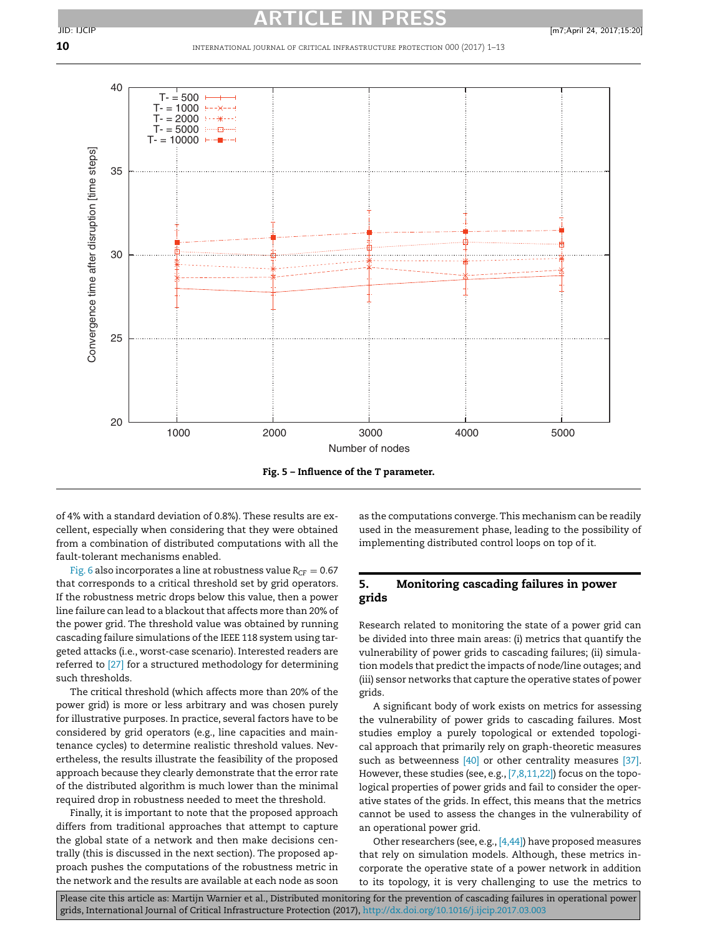<span id="page-9-0"></span>

of 4% with a standard deviation of 0.8%). These results are excellent, especially when considering that they were obtained from a combination of distributed computations with all the

fault-tolerant mechanisms enabled.

[Fig.](#page-10-0) 6 also incorporates a line at robustness value  $R_{CF} = 0.67$ that corresponds to a critical threshold set by grid operators. If the robustness metric drops below this value, then a power line failure can lead to a blackout that affects more than 20% of the power grid. The threshold value was obtained by running cascading failure simulations of the IEEE 118 system using targeted attacks (i.e., worst-case scenario). Interested readers are referred to [\[27\]](#page-12-0) for a structured methodology for determining such thresholds.

The critical threshold (which affects more than 20% of the power grid) is more or less arbitrary and was chosen purely for illustrative purposes. In practice, several factors have to be considered by grid operators (e.g., line capacities and maintenance cycles) to determine realistic threshold values. Nevertheless, the results illustrate the feasibility of the proposed approach because they clearly demonstrate that the error rate of the distributed algorithm is much lower than the minimal required drop in robustness needed to meet the threshold.

Finally, it is important to note that the proposed approach differs from traditional approaches that attempt to capture the global state of a network and then make decisions centrally (this is discussed in the next section). The proposed approach pushes the computations of the robustness metric in the network and the results are available at each node as soon as the computations converge. This mechanism can be readily used in the measurement phase, leading to the possibility of implementing distributed control loops on top of it.

# **5. Monitoring cascading failures in power grids**

Research related to monitoring the state of a power grid can be divided into three main areas: (i) metrics that quantify the vulnerability of power grids to cascading failures; (ii) simulation models that predict the impacts of node/line outages; and (iii) sensor networks that capture the operative states of power grids.

A significant body of work exists on metrics for assessing the vulnerability of power grids to cascading failures. Most studies employ a purely topological or extended topological approach that primarily rely on graph-theoretic measures such as betweenness [\[40\]](#page-12-0) or other centrality measures [\[37\].](#page-12-0) However, these studies (see, e.g., [\[7,8,11,22\]\)](#page-11-0) focus on the topological properties of power grids and fail to consider the operative states of the grids. In effect, this means that the metrics cannot be used to assess the changes in the vulnerability of an operational power grid.

Other researchers (see, e.g., [\[4,44\]\)](#page-11-0) have proposed measures that rely on simulation models. Although, these metrics incorporate the operative state of a power network in addition to its topology, it is very challenging to use the metrics to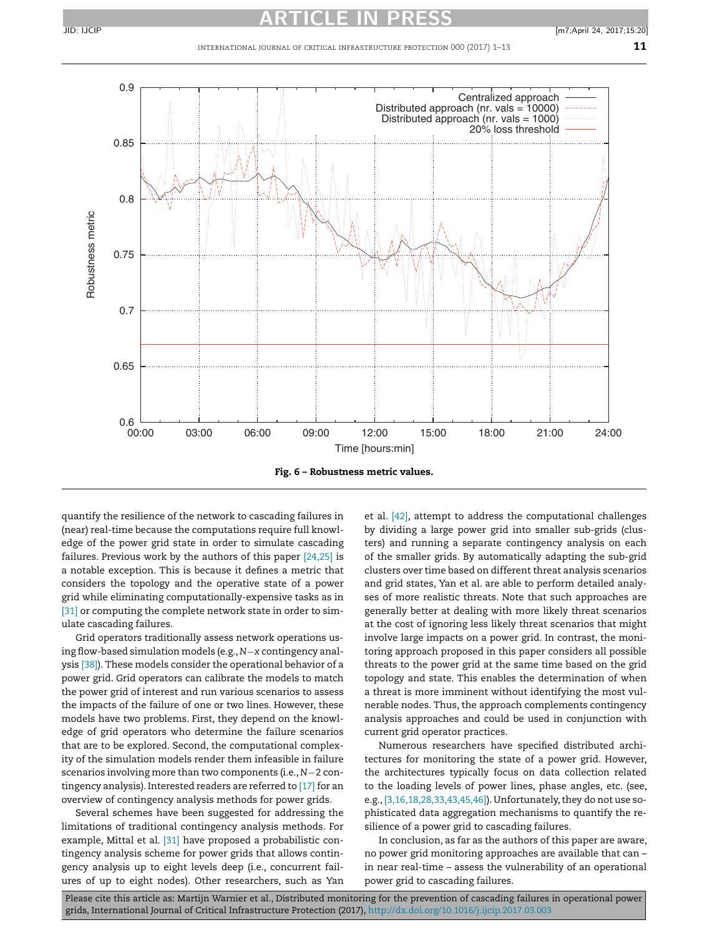## international journal of critical infrastructure protection 000 (2017) 1–13 **11**

<span id="page-10-0"></span>

quantify the resilience of the network to cascading failures in (near) real-time because the computations require full knowledge of the power grid state in order to simulate cascading failures. Previous work by the authors of this paper [\[24,25\]](#page-12-0) is a notable exception. This is because it defines a metric that considers the topology and the operative state of a power grid while eliminating computationally-expensive tasks as in [\[31\]](#page-12-0) or computing the complete network state in order to simulate cascading failures.

Grid operators traditionally assess network operations using flow-based simulation models (e.g., *N*−*x* contingency analysis [\[38\]\)](#page-12-0). These models consider the operational behavior of a power grid. Grid operators can calibrate the models to match the power grid of interest and run various scenarios to assess the impacts of the failure of one or two lines. However, these models have two problems. First, they depend on the knowledge of grid operators who determine the failure scenarios that are to be explored. Second, the computational complexity of the simulation models render them infeasible in failure scenarios involving more than two components (i.e., *N*−2 con-tingency analysis). Interested readers are referred to [\[17\]](#page-11-0) for an overview of contingency analysis methods for power grids.

Several schemes have been suggested for addressing the limitations of traditional contingency analysis methods. For example, Mittal et al. [\[31\]](#page-12-0) have proposed a probabilistic contingency analysis scheme for power grids that allows contingency analysis up to eight levels deep (i.e., concurrent failures of up to eight nodes). Other researchers, such as Yan

et al. [\[42\],](#page-12-0) attempt to address the computational challenges by dividing a large power grid into smaller sub-grids (clusters) and running a separate contingency analysis on each of the smaller grids. By automatically adapting the sub-grid clusters over time based on different threat analysis scenarios and grid states, Yan et al. are able to perform detailed analyses of more realistic threats. Note that such approaches are generally better at dealing with more likely threat scenarios at the cost of ignoring less likely threat scenarios that might involve large impacts on a power grid. In contrast, the monitoring approach proposed in this paper considers all possible threats to the power grid at the same time based on the grid topology and state. This enables the determination of when a threat is more imminent without identifying the most vulnerable nodes. Thus, the approach complements contingency analysis approaches and could be used in conjunction with current grid operator practices.

Numerous researchers have specified distributed architectures for monitoring the state of a power grid. However, the architectures typically focus on data collection related to the loading levels of power lines, phase angles, etc. (see, e.g., [\[3,16,18,28,33,43,45,46\]\)](#page-11-0). Unfortunately,they do not use sophisticated data aggregation mechanisms to quantify the resilience of a power grid to cascading failures.

In conclusion, as far as the authors of this paper are aware, no power grid monitoring approaches are available that can – in near real-time – assess the vulnerability of an operational power grid to cascading failures.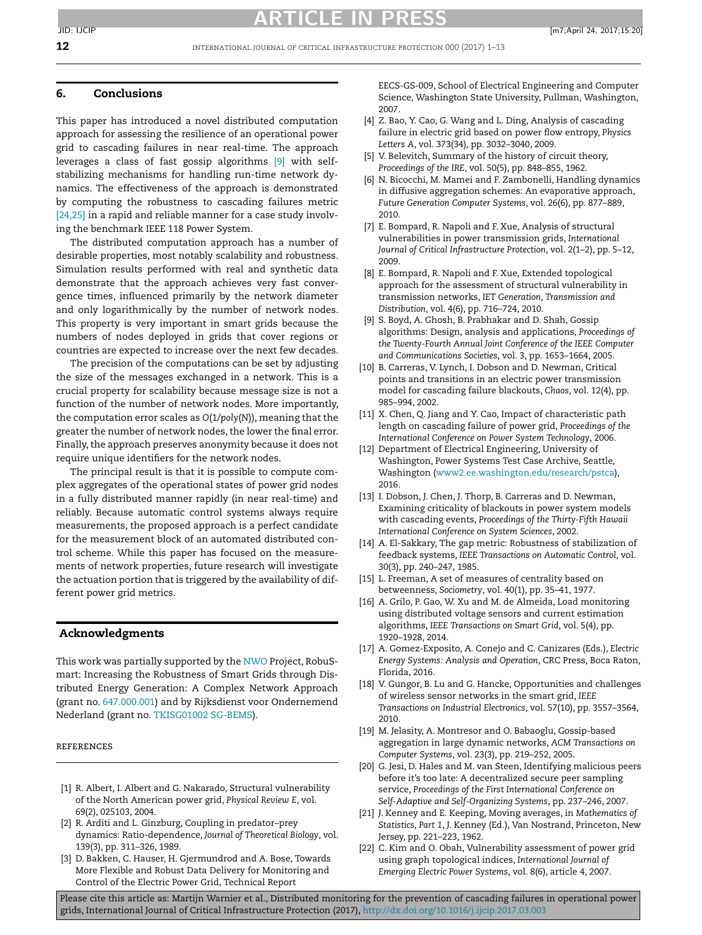<span id="page-11-0"></span>**12** international journal of critical infrastructure protection 000 (2017) 1–13

# **6. Conclusions**

This paper has introduced a novel distributed computation approach for assessing the resilience of an operational power grid to cascading failures in near real-time. The approach leverages a class of fast gossip algorithms [9] with selfstabilizing mechanisms for handling run-time network dynamics. The effectiveness of the approach is demonstrated by computing the robustness to cascading failures metric [\[24,25\]](#page-12-0) in a rapid and reliable manner for a case study involving the benchmark IEEE 118 Power System.

The distributed computation approach has a number of desirable properties, most notably scalability and robustness. Simulation results performed with real and synthetic data demonstrate that the approach achieves very fast convergence times, influenced primarily by the network diameter and only logarithmically by the number of network nodes. This property is very important in smart grids because the numbers of nodes deployed in grids that cover regions or countries are expected to increase over the next few decades.

The precision of the computations can be set by adjusting the size of the messages exchanged in a network. This is a crucial property for scalability because message size is not a function of the number of network nodes. More importantly, the computation error scales as *O*(1/*poly*(*N*)), meaning that the greater the number of network nodes, the lower the final error. Finally, the approach preserves anonymity because it does not require unique identifiers for the network nodes.

The principal result is that it is possible to compute complex aggregates of the operational states of power grid nodes in a fully distributed manner rapidly (in near real-time) and reliably. Because automatic control systems always require measurements, the proposed approach is a perfect candidate for the measurement block of an automated distributed control scheme. While this paper has focused on the measurements of network properties, future research will investigate the actuation portion that is triggered by the availability of different power grid metrics.

# **Acknowledgments**

This work was partially supported by the [NWO](http://dx.doi.org/10.13039/501100003246) Project, RobuSmart: Increasing the Robustness of Smart Grids through Distributed Energy Generation: A Complex Network Approach (grant no. 647.000.001) and by Rijksdienst voor Ondernemend Nederland (grant no. TKISG01002 SG-BEMS).

### references

- [1] R. Albert, I. Albert and G. Nakarado, Structural vulnerability of the North American power grid, *Physical Review E*, vol. 69(2), 025103, 2004.
- [2] R. Arditi and L. Ginzburg, Coupling in predator–prey dynamics: Ratio-dependence, *Journal of Theoretical Biology*, vol. 139(3), pp. 311–326, 1989.
- [3] D. Bakken, C. Hauser, H. Gjermundrod and A. Bose, Towards More Flexible and Robust Data Delivery for Monitoring and Control of the Electric Power Grid, Technical Report

EECS-GS-009, School of Electrical Engineering and Computer Science, Washington State University, Pullman, Washington, 2007.

- [4] Z. Bao, Y. Cao, G. Wang and L. Ding, Analysis of cascading failure in electric grid based on power flow entropy, *Physics Letters A*, vol. 373(34), pp. 3032–3040, 2009.
- [5] V. Belevitch, Summary of the history of circuit theory, *Proceedings of the IRE*, vol. 50(5), pp. 848–855, 1962.
- [6] N. Bicocchi, M. Mamei and F. Zambonelli, Handling dynamics in diffusive aggregation schemes: An evaporative approach, *Future Generation Computer Systems*, vol. 26(6), pp. 877–889, 2010.
- [7] E. Bompard, R. Napoli and F. Xue, Analysis of structural vulnerabilities in power transmission grids, *International Journal of Critical Infrastructure Protection*, vol. 2(1–2), pp. 5–12, 2009.
- [8] E. Bompard, R. Napoli and F. Xue, Extended topological approach for the assessment of structural vulnerability in transmission networks, *IET Generation, Transmission and Distribution*, vol. 4(6), pp. 716–724, 2010.
- [9] S. Boyd, A. Ghosh, B. Prabhakar and D. Shah, Gossip algorithms: Design, analysis and applications, *Proceedings of the Twenty-Fourth Annual Joint Conference of the IEEE Computer and Communications Societies*, vol. 3, pp. 1653–1664, 2005.
- [10] B. Carreras, V. Lynch, I. Dobson and D. Newman, Critical points and transitions in an electric power transmission model for cascading failure blackouts, *Chaos*, vol. 12(4), pp. 985–994, 2002.
- [11] X. Chen, Q. Jiang and Y. Cao, Impact of characteristic path length on cascading failure of power grid, *Proceedings of the International Conference on Power System Technology*, 2006.
- [12] Department of Electrical Engineering, University of Washington, Power Systems Test Case Archive, Seattle, Washington [\(www2.ee.washington.edu/research/pstca\)](http://www2.ee.washington.edu/research/pstca), 2016.
- [13] I. Dobson, J. Chen, J. Thorp, B. Carreras and D. Newman, Examining criticality of blackouts in power system models with cascading events, *Proceedings of the Thirty-Fifth Hawaii International Conference on System Sciences*, 2002.
- [14] A. El-Sakkary, The gap metric: Robustness of stabilization of feedback systems, *IEEE Transactions on Automatic Control*, vol. 30(3), pp. 240–247, 1985.
- [15] L. Freeman, A set of measures of centrality based on betweenness, *Sociometry*, vol. 40(1), pp. 35–41, 1977.
- [16] A. Grilo, P. Gao, W. Xu and M. de Almeida, Load monitoring using distributed voltage sensors and current estimation algorithms, *IEEE Transactions on Smart Grid*, vol. 5(4), pp. 1920–1928, 2014.
- [17] A. Gomez-Exposito, A. Conejo and C. Canizares (Eds.), *Electric Energy Systems: Analysis and Operation*, CRC Press, Boca Raton, Florida, 2016.
- [18] V. Gungor, B. Lu and G. Hancke, Opportunities and challenges of wireless sensor networks in the smart grid, *IEEE Transactions on Industrial Electronics*, vol. 57(10), pp. 3557–3564, 2010.
- [19] M. Jelasity, A. Montresor and O. Babaoglu, Gossip-based aggregation in large dynamic networks, *ACM Transactions on Computer Systems*, vol. 23(3), pp. 219–252, 2005.
- [20] G. Jesi, D. Hales and M. van Steen, Identifying malicious peers before it's too late: A decentralized secure peer sampling service, *Proceedings of the First International Conference on Self-Adaptive and Self-Organizing Systems*, pp. 237–246, 2007.
- [21] J. Kenney and E. Keeping, Moving averages, in *Mathematics of Statistics, Part 1*, J. Kenney (Ed.), Van Nostrand, Princeton, New Jersey, pp. 221–223, 1962.
- [22] C. Kim and O. Obah, Vulnerability assessment of power grid using graph topological indices, *International Journal of Emerging Electric Power Systems*, vol. 8(6), article 4, 2007.